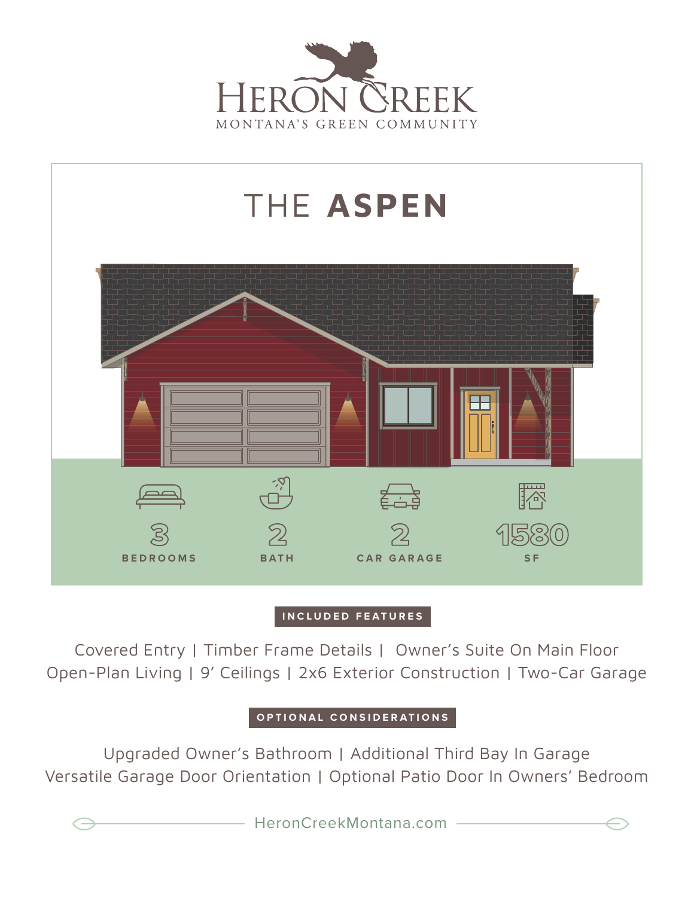



## **INCLUDED FEATURES**

Covered Entry | Timber Frame Details | Owner's Suite On Main Floor Open-Plan Living | 9' Ceilings | 2x6 Exterior Construction | Two-Car Garage

**OPTIONAL CONSIDERATIONS**

Upgraded Owner's Bathroom | Additional Third Bay In Garage Versatile Garage Door Orientation | Optional Patio Door In Owners' Bedroom

HeronCreekMontana.com